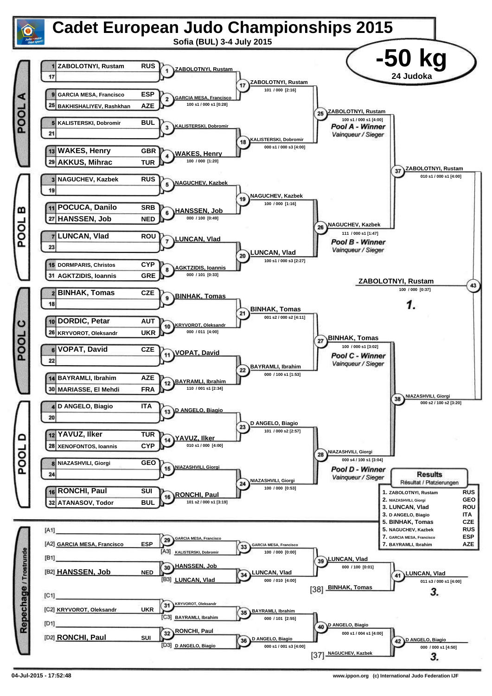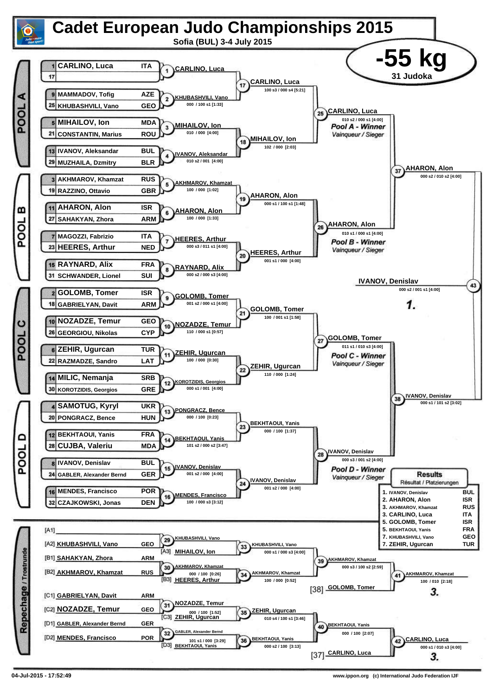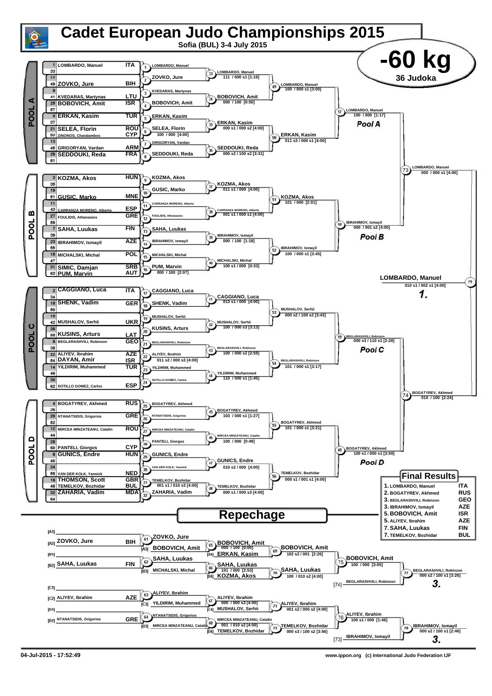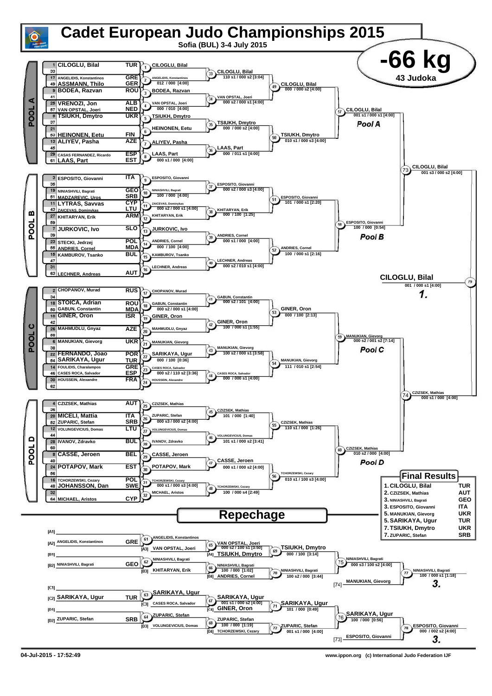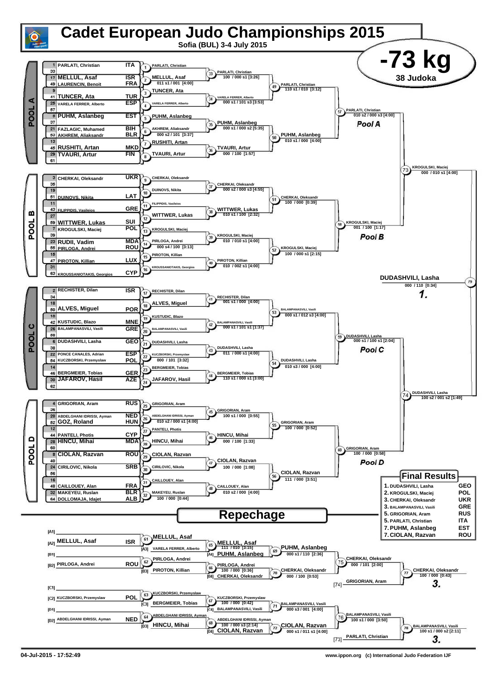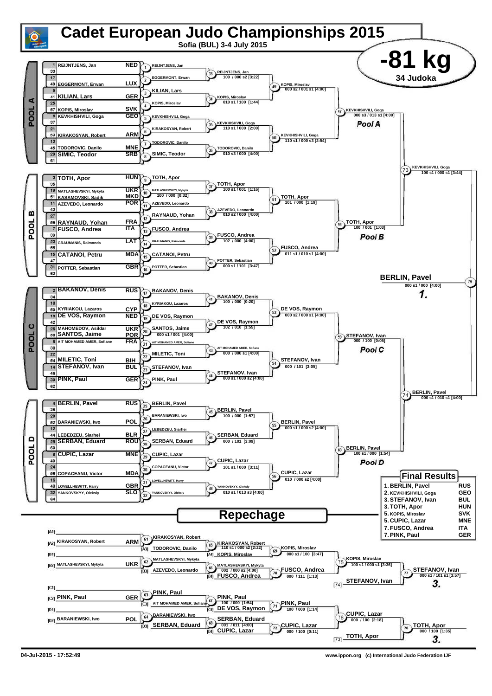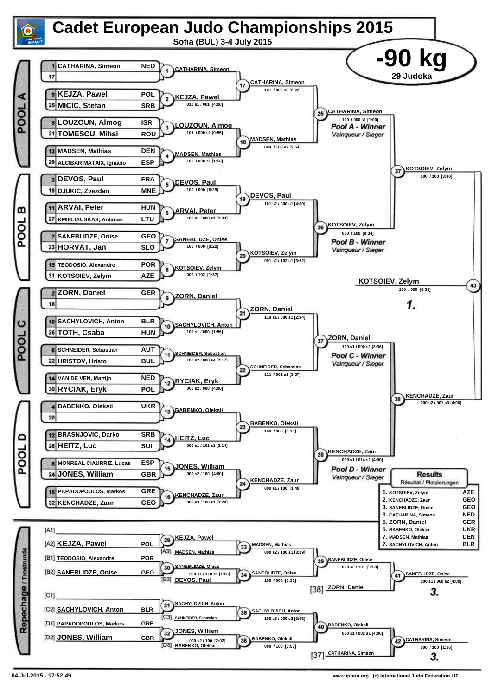